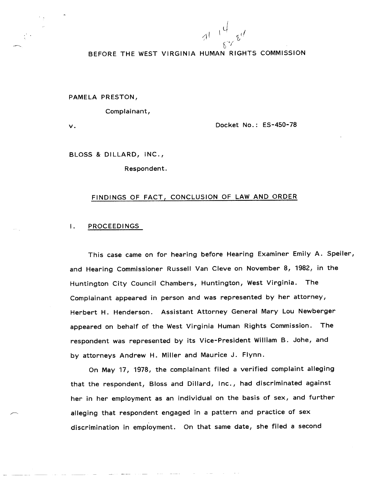$a^{1 + \frac{1}{2} + \frac{1}{2}d}$  $64$ 

# **BEFORE THE WEST VIRGINIA HUMAN RIGHTS COMMISSION**

PAMELA PRESTON,

Complainant,

 $\vee$ .

Docket No.: ES-450-78

BLOSS & DILLARD, INC.,

Respondent.

## FINDINGS OF FACT, CONCLUSION OF LAW AND ORDER

#### **PROCEEDINGS**  $\mathbf{I}$ .

This case came on for hearing before Hearing Examiner Emily A. Speiler, and Hearing Commissioner Russell Van Cleve on November 8, 1982, in the Huntington City Council Chambers, Huntington, West Virginia. The Complainant appeared in person and was represented by her attorney, Herbert H. Henderson. Assistant Attorney General Mary Lou Newberger appeared on behalf of the West Virginia Human Rights Commission. The respondent was represented by its Vice-President William B. Johe, and by attorneys Andrew H. Miller and Maurice J. Flynn.

On May 17, 1978, the complainant filed a verified complaint alleging that the respondent, Bloss and Dillard, Inc., had discriminated against her in her employment as an individual on the basis of sex, and further alleging that respondent engaged in a pattern and practice of sex discrimination in employment. On that same date, she filed a second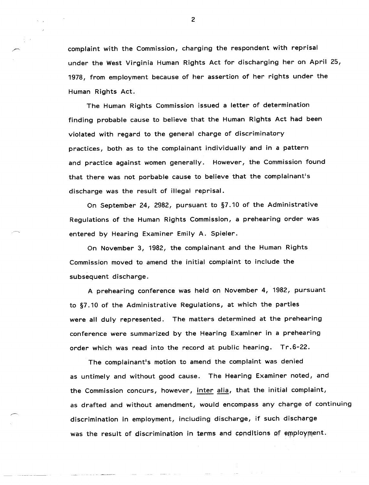complaint with the Commission, charging the respondent with reprisal under the West Virginia Human Rights Act for discharging her on April 25, 1978, from employment because of her assertion of her rights under the Human Rights Act.

The Human Rights Commission issued a letter of determination finding probable cause to believe that the Human Rights Act had been violated with regard to the general charge of discriminatory practices, both as to the complainant individually and in a pattern and practice against women generally. However, the Commission found that there was not porbable cause to believe that the complainant's discharge was the result of illegal reprisal.

On September 24, 2982, pursuant to §7.10 of the Administrative Regulations of the Human Rights Commission, a prehearing order was entered by Hearing Examiner Emily A. Spieler.

On November 3, 1982, the complainant and the Human Rights Commission moved to amend the initial complaint to include the subsequent discharge.

A prehearing conference was held on November 4, 1982, pursuant to §7.10 of the Administrative Regulations, at which the parties were all duly represented. The matters determined at the prehearing conference were summarized by the Hearing Examiner in a prehearing order which was read into the record at public hearing. Tr.6-22.

The complainant's motion to amend the complaint was denied as untimely and without good cause. The Hearing Examiner noted, and the Commission concurs, however, inter alia, that the initial complaint, as drafted and without amendment, would encompass any charge of continuing discrimination in employment, including discharge, if such discharge was the result of discrimination in terms and conditions of employment.

 $\overline{c}$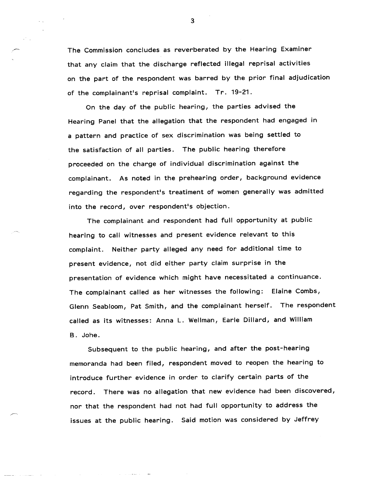The Commission concludes as reverberated by the Hearing Examiner that any claim that the discharge reflected illegal reprisal activities on the part of the respondent was barred by the prior final adjudication of the complainant's reprisal complaint. Tr. 19-21.

On the day of the public hearing, the parties advised the Hearing Panel that the allegation that the respondent had engaged in a pattern and practice of sex discrimination was being settled to the satisfaction of all parties. The public hearing therefore proceeded on the charge of individual discrimination against the complainant. As noted in the prehearing order, background evidence regarding the respondent's treatiment of women generally was admitted into the record, over respondent's objection.

The complainant and respondent had full opportunity at public hearing to call witnesses and present evidence relevant to this complaint. Neither party alleged any need for additional time to present evidence, not did either party claim surprise in the presentation of evidence which might have necessitated a continuance. The complainant called as her witnesses the following: Elaine Combs, Glenn Seabloom, Pat Smith, and the complainant herself. The respondent called as its witnesses: Anna L. Wellman, Earle Dillard, and William B. Johe.

Subsequent to the public hearing, and after the post-hearing memoranda had been filed, respondent moved to reopen the hearing to introduce further evidence in order to clarify certain parts of the record. There was no allegation that new evidence had been discovered, nor that the respondent had not had full opportunity to address the issues at the public hearing. Said motion was considered by Jeffrey

 $3<sup>1</sup>$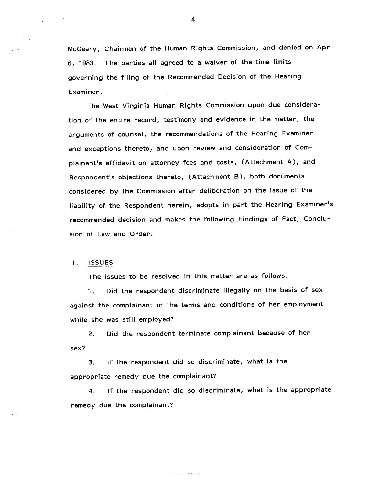McGeary, Chairman of the Human Rights Commission, and denied on April 6, 1983. The parties all agreed to a waiver of the time limits governing the filing of the Recommended Decision of the Hearing Examiner.

The West Virginia Human Rights Commission upon due consideration of the entire record, testimony and evidence in the matter, the arguments of counsel, the recommendations of the Hearing Examiner and exceptions thereto, and upon review and consideration of Complainant's affidavit on attorney fees and costs, (Attachment A), and Respondent's objections thereto, (Attachment B), both documents considered by the Commission after deliberation on the issue of the liability of the Respondent herein, adopts in part the Hearing Examiner's recommended decision and makes the following Findings of Fact, Conclusion of Law and Order.

## II. ISSUES

The issues to be resolved in this matter are as follows:

1. Did the respondent discriminate illegally on the basis of sex against the complainant in the terms and conditions of her employment while she was still employed?

2. Did the respondent terminate complainant because of her sex?

3. If the respondent did so discriminate, what is the appropriate remedy due the complainant?

 $\bar{z}_1,\bar{z}_2,\cdots,\bar{z}_n$  and the contract  $\bar{z}_1$ 

4. If the respondent did so discriminate, what is the appropriate remedy due the complainant?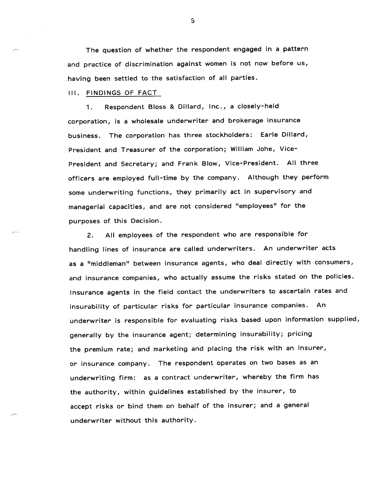The question of whether the respondent engaged in a pattern and practice of discrimination against women is not now before us, having been settled to the satisfaction of all parties.

## III. FINDINGS OF FACT

 $\mathcal{L}(\mathcal{A})$  and  $\mathcal{L}(\mathcal{A})$  and  $\mathcal{L}(\mathcal{A})$ 

1. Respondent Bloss & Dillard, Inc., a closely-held corporation, is a wholesale underwriter and brokerage insurance business. The corporation has three stockholders: Earle Dillard, President and Treasurer of the corporation; William Johe, Vice-President and Secretary; and Frank Blow, Vice-President. All three officers are employed full-time by the company. Although they perform some underwriting functions, they primarily act in supervisory and managerial capacities, and are not considered "employees" for the purposes of this Decision.

2. All employees of the respondent who are responsible for handling lines of insurance are called underwriters. An underwriter acts as a "middleman" between insurance agents, who deal directly with consumers, and insurance companies, who actually assume the risks stated on the policies. Insurance agents in the field contact the underwriters to ascertain rates and insurability of particular risks for particular insurance companies. An underwriter is responsible for evaluating risks based upon information supplied, generally by the insurance agent; determining insurability; pricing the premium rate; and marketing and placing the risk with an insurer, or insurance company. The respondent operates on two bases as an underwriting firm: as a contract underwriter, whereby the firm has the authority, within guidelines established by the insurer, to accept risks or bind them on behalf of the insurer; and a general underwriter without this authority.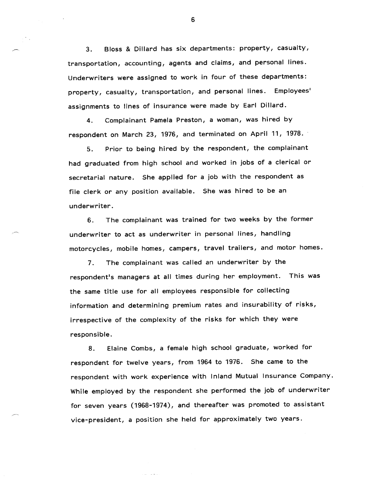3. Bloss & Dillard has six departments: property, casualty, transportation, accounting, agents and claims, and personal lines. Underwriters were assigned to work in four of these departments: property, casualty, transportation, and personal lines. Employees' assignments to lines of insurance were made by Earl Dillard.

4. Complainant Pamela Preston, a woman, was hired by respondent on March 23, 1976, and terminated on April 11, 1978.

5. Prior to being hired by the respondent, the complainant had graduated from high school and worked in jobs of a clerical or secretarial nature. She applied for a job with the respondent as file clerk or any position available. She was hired to be an underwriter.

6. The complainant was trained for two weeks by the former underwriter to act as underwriter in personal lines, handling motorcycles, mobile homes, campers, travel trailers, and motor homes.

7. The complainant was called an underwriter by the respondent's managers at all times during her employment. This was the same title use for all employees responsible for collecting information and determining premium rates and insurability of risks, irrespective of the complexity of the risks for which they were responsible.

8. Elaine Combs, a female high school graduate, worked for respondent for twelve years, from 1964 to 1976. She came to the respondent with work experience with Inland Mutual Insurance Company. While employed by the respondent she performed the job of underwriter for seven years (1968-1974), and thereafter was promoted to assistant vice-president, a position she held for approximately two years.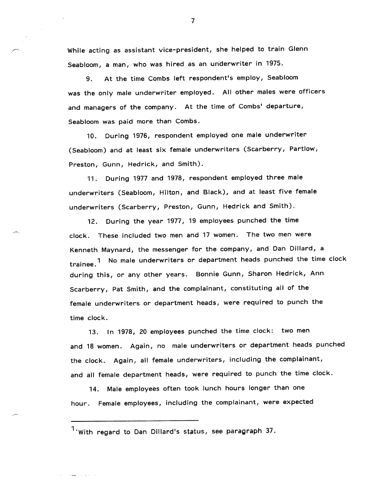While acting as assistant vice-president, she helped to train Glenn Seabloom, a man, who was hired as an underwriter in 1975.

At the time Combs left respondent's employ, Seabloom 9. was the only male underwriter employed. All other males were officers and managers of the company. At the time of Combs' departure, Seabloom was paid more than Combs.

During 1976, respondent employed one male underwriter  $10.$ (Seabloom) and at least six female underwriters (Scarberry, Partlow, Preston, Gunn, Hedrick, and Smith).

11. During 1977 and 1978, respondent employed three male underwriters (Seabloom, Hilton, and Black), and at least five female underwriters (Scarberry, Preston, Gunn, Hedrick and Smith).

12. During the year 1977, 19 employees punched the time clock. These included two men and 17 women. The two men were Kenneth Maynard, the messenger for the company, and Dan Dillard, a trainee.<sup>1</sup> No male underwriters or department heads punched the time cloc during this, or any other years. Bonnie Gunn, Sharon Hedrick, Ann Scarberry, Pat Smith, and the complainant, constituting all of the female underwriters or department heads, were required to punch the time clock.

13. In 1978, 20 employees punched the time clock: two men and 18 women. Again, no male underwriters or department heads punched the clock. Again, all female underwriters, including the complainant, and all female department heads, were required to punch the time clock.

14. Male employees often took lunch hours longer than one hour. Female employees, including the complainant, were expected

 $1$ ·With regard to Dan Dillard's status, see paragraph 37.

ووالساعد والمصطراب القراني والا

 $\overline{7}$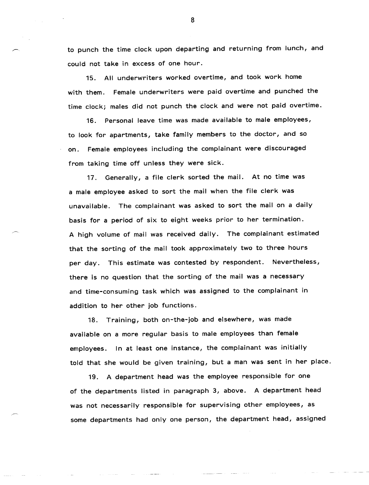to punch the time clock upon departing and returning from lunch, and could not take in excess of one hour.

15. All underwriters worked overtime, and took work home with them. Female underwriters were paid overtime and punched the time clock; males did not punch the clock and were not paid overtime.

16. Personal leave time was made available to male employees, to look for apartments, take family members to the doctor, and so on. Female employees including the complainant were discouraged from taking time off unless they were sick.

17. Generally, a file clerk sorted the mail. At no time was a male employee asked to sort the mail when the file clerk was unavailable. The complainant was asked to sort the mail on a daily basis for a period of six to eight weeks prior to her termination. A high volume of mail was received daily. The complainant estimated that the sorting of the mail took approximately two to three hours per day. This estimate was contested by respondent. Nevertheless, there is no question that the sorting of the mail was a necessary and time-consuming task which was assigned to the complainant in addition to her other job functions.

18. Training, both on-the-job and elsewhere, was made available on a more regular basis to male employees than female employees. In at least one instance, the complainant was initially told that she would be given training, but a man was sent in her place.

19. A department head was the employee responsible for one of the departments listed in paragraph 3, above. A department head was not necessarily responsible for supervising other employees, as some departments had only one person, the department head, assigned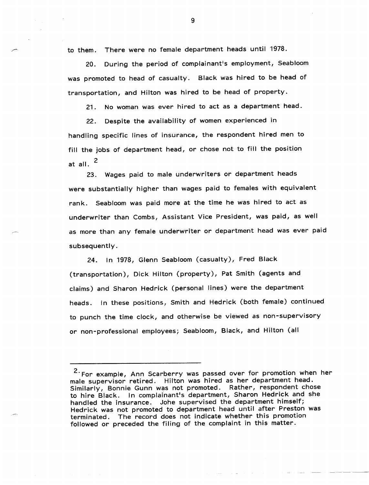There were no female department heads until 1978. to them.

During the period of complainant's employment, Seabloom  $20.$ was promoted to head of casualty. Black was hired to be head of transportation, and Hilton was hired to be head of property.

No woman was ever hired to act as a department head.  $21.$ 

Despite the availability of women experienced in  $22.$ handling specific lines of insurance, the respondent hired men to fill the jobs of department head, or chose not to fill the position at all.  $^2$ 

23. Wages paid to male underwriters or department heads were substantially higher than wages paid to females with equivalent rank. Seabloom was paid more at the time he was hired to act as underwriter than Combs, Assistant Vice President, was paid, as well as more than any female underwriter or department head was ever paid subsequently.

24. In 1978, Glenn Seabloom (casualty), Fred Black (transportation), Dick Hilton (property), Pat Smith (agents and claims) and Sharon Hedrick (personal lines) were the department heads. In these positions, Smith and Hedrick (both female) continued to punch the time clock, and otherwise be viewed as non-supervisory or non-professional employees; Seabloom, Black, and Hilton (all

<sup>&</sup>lt;sup>2</sup> For example, Ann Scarberry was passed over for promotion when her male supervisor retired. Hilton was hired as her department head. Similarly, Bonnie Gunn was not promoted. Rather, respondent chose to hire Black. In complainant's department, Sharon Hedrick and she handled the insurance. Johe supervised the department himself; Hedrick was not promoted to department head until after Preston was terminated. The record does not indicate whether this promotion followed or preceded the filing of the complaint in this matter.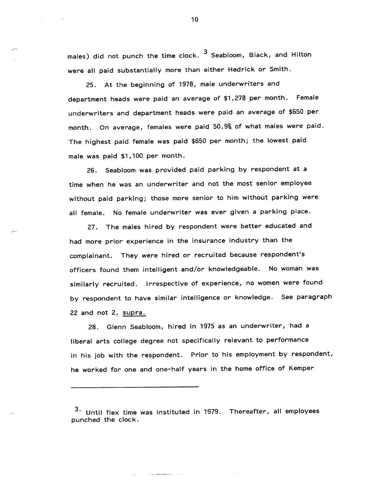males) did not punch the time clock. <sup>3</sup> Seabloom, Black, and Hilton were all paid substantially more than either Hedrick or Smith.

25. At the beginning of 1978, male underwriters and department heads were paid an average of \$1,278 per month. Female underwriters and department heads were paid an average of \$650 per month. On average, females were paid 50.9% of what males were paid. The highest paid female was paid \$650 per month; the lowest paid male was paid \$1,100 per month.

Seabloom was provided paid parking by respondent at a 26. time when he was an underwriter and not the most senior employee without paid parking; those more senior to him without parking were all female. No female underwriter was ever given a parking place.

27. The males hired by respondent were better educated and had more prior experience in the insurance industry than the complainant. They were hired or recruited because respondent's officers found them intelligent and/or knowledgeable. No woman was similarly recruited. Irrespective of experience, no women were found by respondent to have similar intelligence or knowledge. See paragraph 22 and not 2, supra.

28. Glenn Seabloom, hired in 1975 as an underwriter, had a liberal arts college degree not specifically relevant to performance in his job with the respondent. Prior to his employment by respondent, he worked for one and one-half years in the home office of Kemper

Until flex time was instituted in 1979. Thereafter, all employees punched the clock.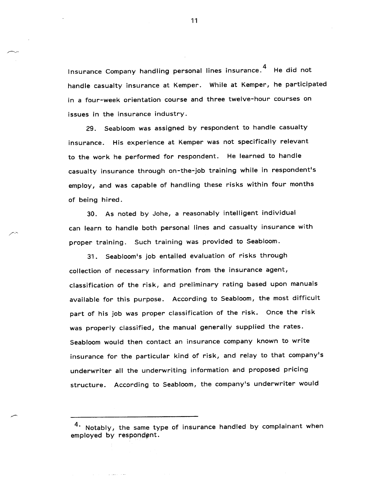nsurance Company handling personal lines insurance.<sup>4</sup> He did not handle casualty insurance at Kemper. While at Kemper, he participated in a four-week orientation course and three twelve-hour courses on issues in the insurance industry.

29. Seabloom was assigned by respondent to handle casualty insurance. His experience at Kemper was not specifically relevant to the work he performed for respondent. He learned to handle casualty insurance through on-the-job training while in respondent's employ, and was capable of handling these risks within four months of being hired.

30. As noted by Johe, a reasonably intelligent individual can learn to handle both personal lines and casualty insurance with proper training. Such training was provided to Seabloom.

31. Seabloom's job entailed evaluation of risks through collection of necessary information from the insurance agent, classification of the risk, and preliminary rating based upon manuals available for this purpose. According to Seabloom, the most difficult part of his job was proper classification of the risk. Once the risk was properly classified, the manual generally supplied the rates. Seabloom would then contact an insurance company known to write insurance for the particular kind of risk, and relay to that company's underwriter all the underwriting information and proposed pricing structure. According to Seabloom, the company's underwriter would

<sup>4.</sup> Notably, the same type of insurance handled by complainant when employed by respondent.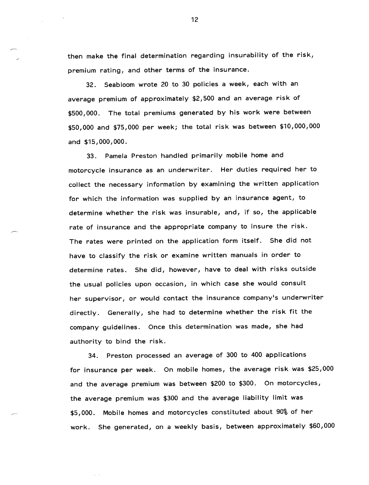then make the final determination regarding insurability of the risk, premium rating, and other terms of the insurance.

32. Seabloom wrote 20 to 30 policies a week, each with an average premium of approximately \$2,500 and an average risk of \$500,000. The total premiums generated by his work were between \$50,000 and \$75,000 per week; the total risk was between \$10,000,000 and \$15,000,000.

33. Pamela Preston handled primarily mobile home and motorcycle insurance as an underwriter. Her duties required her to collect the necessary information by examining the written application for which the information was supplied by an insurance agent, to determine whether the risk was insurable, and, if so, the applicable rate of insurance and the appropriate company to insure the risk. The rates were printed on the application form itself. She did not have to classify the risk or examine written manuals in order to determine rates. She did, however, have to deal with risks outside the usual policies upon occasion, in which case she would consult her supervisor, or would contact the insurance company's underwriter directly. Generally, she had to determine whether the risk fit the company guidelines. Once this determination was made, she had authority to bind the risk.

34. Preston processed an average of 300 to 400 applications for insurance per week. On mobile homes, the average risk was \$25,000 and the average premium was between \$200 to \$300. On motorcycles, the average premium was \$300 and the average liability limit was \$5,000. Mobile homes and motorcycles constituted about 90% of her work. She generated, on a weekly basis, between approximately \$60,000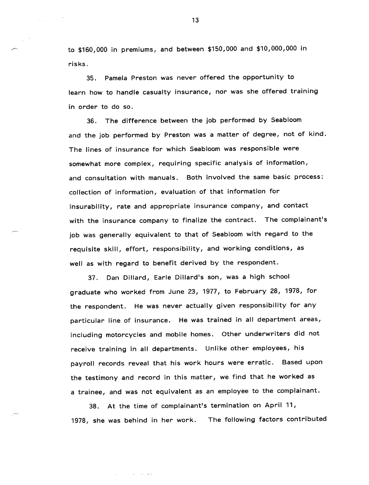to \$160,000 in premiums, and between \$150,000 and \$10,000,000 in risks.

35. Pamela Preston was never offered the opportunity to learn how to handle casualty insurance, nor was she offered training in order to do so.

36. The difference between the job performed by Seabloom and the job performed by Preston was a matter of degree, not of kind. The lines of insurance for which Seabloom was responsible were somewhat more complex, requiring specific analysis of information, and consultation with manuals. Both involved the same basic process: collection of information, evaluation of that information for insurability, rate and appropriate insurance company, and contact with the insurance company to finalize the contract. The complainant's job was generally equivalent to that of Seabloom with regard to the requisite skill, effort, responsibility, and working conditions, as well as with regard to benefit derived by the respondent.

37. Dan Dillard, Earle Dillard's son, was a high school graduate who worked from June 23, 1977, to February 28, 1978, for the respondent. He was never actually given responsibility for any particular line of insurance. He was trained in all department areas, including motorcycles and mobile homes. Other underwriters did not receive training in all departments. Unlike other employees, his payroll records reveal that his work hours were erratic. Based upon the testimony and record in this matter, we find that he worked as a trainee, and was not equivalent as an employee to the complainant.

38. At the time of complainant's termination on April 11, 1978, she was behind in her work. The following factors contributed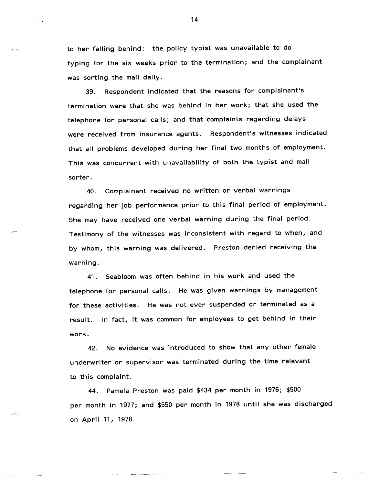to her falling behind: the policy typist was unavailable to do typing for the six weeks prior to the termination; and the complainant was sorting the mail daily.

39. Respondent indicated that the reasons for complainant's termination were that she was behind in her work; that she used the telephone for personal calls; and that complaints regarding delays were received from insurance agents. Respondent's witnesses indicated that all problems developed during her final two months of employment. This was concurrent with unavailability of both the typist and mail sorter.

40. Complainant received no written or verbal warnings regarding her job performance prior to this final period of employment. She may have received one verbal warning during the final period. Testimony of the witnesses was inconsistent with regard to when, and by whom, this warning was delivered. Preston denied receiving the warning.

41. Seabloomwas often behind in his work and used the telephone for personal calls. He was given warnings by management for these activities. He was not ever suspended or terminated as a result. In fact, it was common for employees to get behind in their work.

42. No evidence was introduced to show that any other female underwriter or supervisor was terminated during the time relevant to this complaint.

44. Pamela Preston was paid \$434 per month in 1976; \$500 per month in 1977; and \$550 per month in 1978 until she was discharged on April 11, 1978.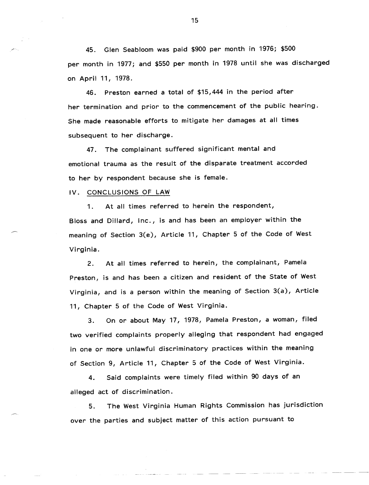45. Glen Seabloom was paid \$900 per month in 1976; \$500 per month in 1977; and \$550 per month in 1978 until she was discharged on April 11, 1978.

46. Preston earned a total of \$15,444 in the period after her termination and prior to the commencement of the public hearing. She made reasonable efforts to mitigate her damages at all times subsequent to her discharge.

47. The complainant suffered significant mental and emotional trauma as the result of the disparate treatment accorded to her by respondent because she is female.

IV. CONCLUSIONS OF LAW

1. At all times referred to herein the respondent, Bloss and Dillard, Inc., is and has been an employer within the meaning of Section 3(e), Article 11, Chapter 5 of the Code of West Virginia.

2. At all times referred to herein, the complainant, Pamela Preston, is and has been a citizen and resident of the State of West Virginia, and is a person within the meaning of Section 3(a), Article 11, Chapter 5 of the Code of West Virginia.

3. On or about May 17, 1978, Pamela Preston, a woman, filed two verified complaints properly alleging that respondent had engaged in one or more unlawful discriminatory practices within the meaning of Section 9, Article 11, Chapter 5 of the Code of West Virginia.

4. Said complaints were timely filed within 90 days of an alleged act of discrimination.

5. The West Virginia Human Rights Commission has jurisdiction over the parties and subject matter of this action pursuant to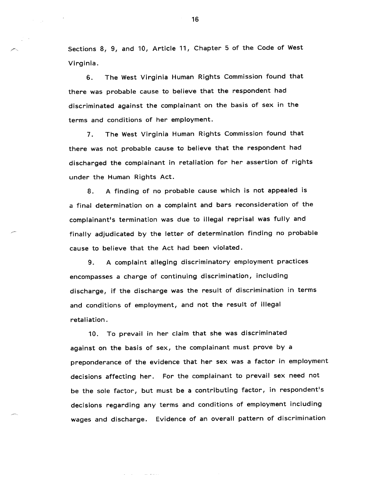Sections 8, 9, and 10, Article 11, Chapter 5 of the Code of West Virginia.

6. The West Virginia Human Rights Commission found that there was probable cause to believe that the respondent had discriminated against the complainant on the basis of sex in the terms and conditions of her employment.

7. The West Virginia Human Rights Commission found that there was not probable cause to believe that the respondent had discharged the complainant in retaliation for her assertion of rights under the Human Rights Act.

8. A finding of no probable cause which is not appealed is a final determination on a complaint and bars reconsideration of the complainant's termination was due to illegal reprisal was fully and finally adjudicated by the letter of determination finding no probable cause to believe that the Act had been violated.

9. A complaint alleging discriminatory employment practices encompasses a charge of continuing discrimination, including discharge, if the discharge was the result of discrimination in terms and conditions of employment, and not the result of illegal retaliation.

10. To prevail in her claim that she was discriminated against on the basis of sex, the complainant must prove by a preponderance of the evidence that her sex was a factor in employment decisions affecting her. For the complainant to prevail sex need not be the sole factor, but must be a contributing factor, in respondent's decisions regarding any terms and conditions of employment including wages and discharge. Evidence of an overall pattern of discrimination

للمتفاعل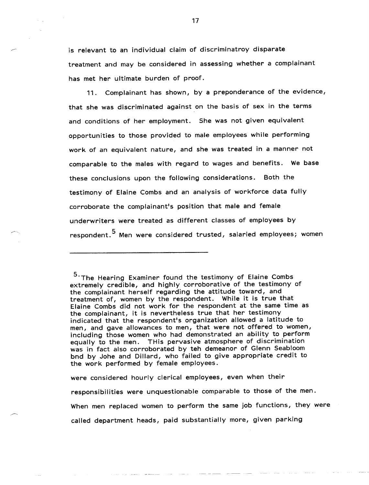is relevant to an individual claim of discriminatroy disparate treatment and may be considered in assessing whether a complainant has met her ultimate burden of proof.

11. Complainant has shown, by a preponderance of the evidence, that she was discriminated against on the basis of sex in the terms and conditions of her employment. She was not given equivalent opportunities to those provided to male employees while performing work of an equivalent nature, and she was treated in a manner not comparable to the males with regard to wages and benefits. We base these conclusions upon the following considerations. Both the testimony of Elaine Combs and an analysis of workforce data fully corroborate the complainant's position that male and female underwriters were treated as different classes of employees by respondent.<sup>5</sup> Men were considered trusted, salaried employees; women

were considered hourly clerical employees, even when their responsibilities were unquestionable comparable to those of the men. When men replaced women to perform the same job functions, they were called department heads, paid substantially more, given parking

<sup>5.</sup> The Hearing Examiner found the testimony of Elaine Combs extremely credible, and highly corroborative of the testimony of the complainant herself regarding the attitude toward, and treatment of, women by the respondent. While it is true that Elaine Combs did not work for the respondent at the same time as the complainant, it is nevertheless true that her testimony indicated that the respondent's organization allowed a latitude to men, and gave allowances to men, that were not offered to women, including those women who had demonstrated an ability to perform equally to the men. THis pervasive atmosphere of discrimination was in fact also corroborated by teh demeanor of Glenn Seabloom bnd by Johe and Dillard, who failed to give appropriate credit to the work performed by female employees.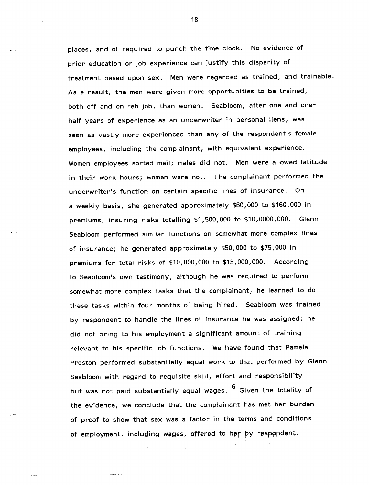places, and ot required to punch the time clock. No evidence of prior education or job experience can justify this disparity of treatment based upon sex. Men were regarded as trained, and trainable. As a result, the men were given more opportunities to be trained, both off and on teh job, than women. Seabloom, after one and onehalf years of experience as an underwriter in personal liens, was seen as vastly more experienced than any of the respondent's female employees, including the complainant, with equivalent experience. Women employees sorted mail; males did not. Men were allowed latitude in their work hours; women were not. The complainant performed the underwriter's function on certain specific lines of insurance. On a weekly basis, she generated approximately \$60,000 to \$160,000 in premiums, insuring risks totalling \$1,500,000 to \$10,0000,000. Glenn Seabloom performed similar functions on somewhat more complex lines of insurance; he generated approximately \$50,000 to \$75,000 in premiums for total risks of \$10,000,000 to \$15,000,000. According to Seabloom's own testimony, although he was required to perform somewhat more complex tasks that the complainant, he learned to do these tasks within four months of being hired. Seabloom was trained by respondent to handle the lines of insurance he was assigned; he did not bring to his employment a significant amount of training relevant to his specific job functions. We have found that Pamela Preston performed substantially equal work to that performed by Glenn Seabloom with regard to requisite skill, effort and responsibility but was not paid substantially equal wages.  $6$  Given the totality of the evidence, we conclude that the complainant has met her burden of proof to show that sex was a factor in the terms and conditions of employment, including wages, offered to her by respondent.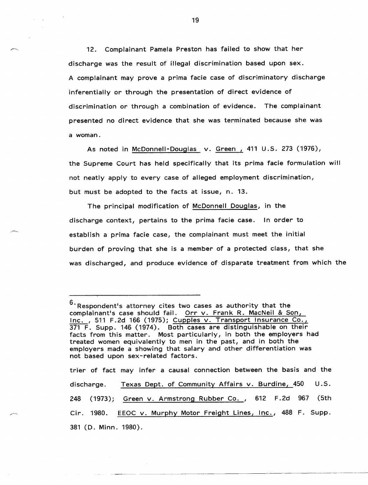Complainant Pamela Preston has failed to show that her  $12.$ discharge was the result of illegal discrimination based upon sex. A complainant may prove a prima facie case of discriminatory discharge inferentially or through the presentation of direct evidence of discrimination or through a combination of evidence. The complainant presented no direct evidence that she was terminated because she was a woman.

As noted in McDonnell-Douglas v. Green, 411 U.S. 273 (1976), the Supreme Court has held specifically that its prima facie formulation will not neatly apply to every case of alleged employment discrimination, but must be adopted to the facts at issue, n. 13.

The principal modification of McDonnell Douglas, in the discharge context, pertains to the prima facie case. In order to establish a prima facie case, the complainant must meet the initial burden of proving that she is a member of a protected class, that she was discharged, and produce evidence of disparate treatment from which the

trier of fact may infer a causal connection between the basis and the Texas Dept. of Community Affairs v. Burdine, 450  $U.S.$ discharge. 248 (1973); Green v. Armstrong Rubber Co., 612 F.2d 967 (5th Cir. 1980. EEOC v. Murphy Motor Freight Lines, Inc., 488 F. Supp.381 (D. Minn. 1980).

<sup>6.</sup> Respondent's attorney cites two cases as authority that the complainant's case should fail. Orr v. Frank R. MacNeil & Son, Inc., 511 F.2d 166 (1975); Cupples v. Transport Insurance Co., 371 F. Supp. 146 (1974). Both cases are distinguishable on their facts from this matter. Most particularly, in both the employers had treated women equivalently to men in the past, and in both the employers made a showing that salary and other differentiation was not based upon sex-related factors.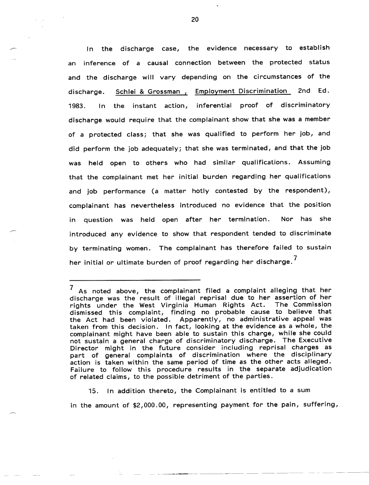discharge case, the evidence necessary to establish  $In$ the inference of a causal connection between the protected status an and the discharge will vary depending on the circumstances of the Schlei & Grossman, Employment Discrimination 2nd Ed. discharge. inferential proof of discriminatory the instant action, 1983.  $In$ discharge would require that the complainant show that she was a member of a protected class; that she was qualified to perform her job, and did perform the job adequately; that she was terminated, and that the job held open to others who had similar qualifications. Assuming **was** that the complainant met her initial burden regarding her qualifications and job performance (a matter hotly contested by the respondent), complainant has nevertheless introduced no evidence that the position question was held open after her termination. Nor has she in introduced any evidence to show that respondent tended to discriminate by terminating women. The complainant has therefore failed to sustain her initial or ultimate burden of proof regarding her discharge.<sup>7</sup>

In addition thereto, the Complainant is entitled to a sum  $15.$ 

in the amount of \$2,000.00, representing payment for the pain, suffering,

 $7$  As noted above, the complainant filed a complaint alleging that her discharge was the result of illegal reprisal due to her assertion of her rights under the West Virginia Human Rights Act. The Commission dismissed this complaint, finding no probable cause to believe that the Act had been violated. Apparently, no administrative appeal was taken from this decision. In fact, looking at the evidence as a whole, the complainant might have been able to sustain this charge, while she could not sustain a general charge of discriminatory discharge. The Executive Director might in the future consider including reprisal charges as part of general complaints of discrimination where the disciplinary action is taken within the same period of time as the other acts alleged. Failure to follow this procedure results in the separate adjudication of related claims, to the possible detriment of the parties.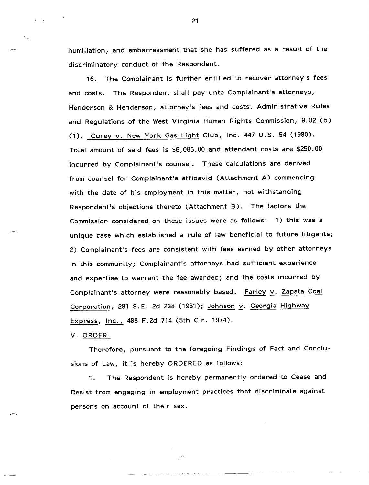humiliation, and embarrassment that she has suffered as a result of the discriminatory conduct of the Respondent.

16. The Complainant is further entitled to recover attorney's fees and costs. The Respondent shall pay unto Complainant's attorneys, Henderson & Henderson, attorney's fees and costs. Administrative Rules and Regulations of the West Virginia Human Rights Commission, 9.02 (b) (1), Curey v. New York Gas Light Club, Inc. 447 U.S. 54 (1980). Total amount of said fees is \$6,085.00 and attendant costs are \$250.00 incurred by Complainant's counsel. These calculations are derived from counsel for Complainant's affidavid (Attachment A) commencing with the date of his employment in this matter, not withstanding Respondent's objections thereto (Attachment B). The factors the Commission considered on these issues were as follows: 1) this was a unique case which established a rule of law beneficial to future litigants; 2) Complainant's fees are consistent with fees earned by other attorneys in this community; Complainant's attorneys had sufficient experience and expertise to warrant the fee awarded; and the costs incurred by Complainant's attorney were reasonably based. Farley v. Zapata Coal Corporation, 281 S.E. 2d 238 (1981); Johnson v. Georgia Highway Express, *Inc.*, 488 F.2d 714 (5th Cir. 1974).

V. ORDER

Therefore, pursuant to the foregoing Findings of Fact and Conclusions of Law, it is hereby ORDERED as follows:

1. The Respondent is hereby permanently ordered to Cease and Desist from engaging in employment practices that discriminate against persons on account of their sex.